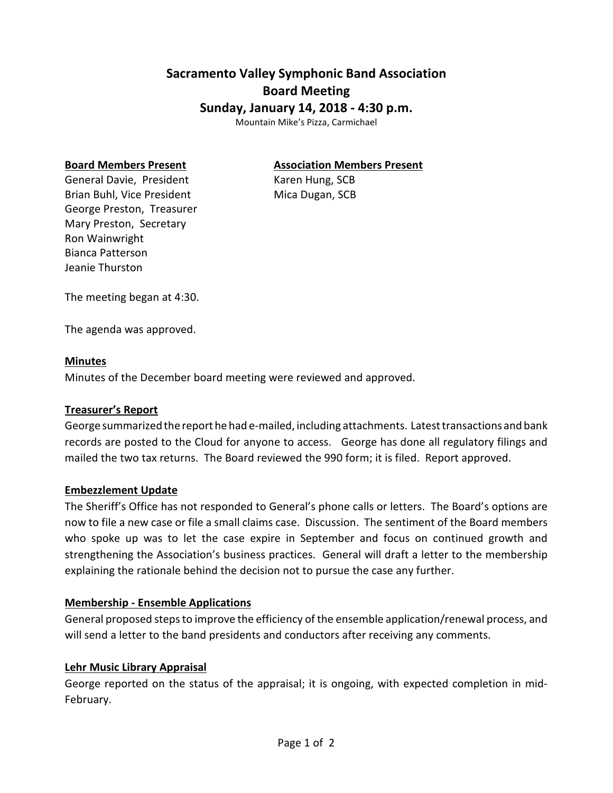# **Sacramento Valley Symphonic Band Association Board Meeting Sunday, January 14, 2018 - 4:30 p.m.**

Mountain Mike's Pizza, Carmichael

#### **Board Members Present Association Members Present**

General Davie, President Karen Hung, SCB Brian Buhl, Vice President Mica Dugan, SCB George Preston, Treasurer Mary Preston, Secretary Ron Wainwright Bianca Patterson Jeanie Thurston

The meeting began at 4:30.

The agenda was approved.

#### **Minutes**

Minutes of the December board meeting were reviewed and approved.

#### **Treasurer's Report**

George summarized the report he had e-mailed, including attachments. Latest transactions and bank records are posted to the Cloud for anyone to access. George has done all regulatory filings and mailed the two tax returns. The Board reviewed the 990 form; it is filed. Report approved.

#### **Embezzlement Update**

The Sheriff's Office has not responded to General's phone calls or letters. The Board's options are now to file a new case or file a small claims case. Discussion. The sentiment of the Board members who spoke up was to let the case expire in September and focus on continued growth and strengthening the Association's business practices. General will draft a letter to the membership explaining the rationale behind the decision not to pursue the case any further.

### **Membership - Ensemble Applications**

General proposed steps to improve the efficiency of the ensemble application/renewal process, and will send a letter to the band presidents and conductors after receiving any comments.

#### **Lehr Music Library Appraisal**

George reported on the status of the appraisal; it is ongoing, with expected completion in mid-February.